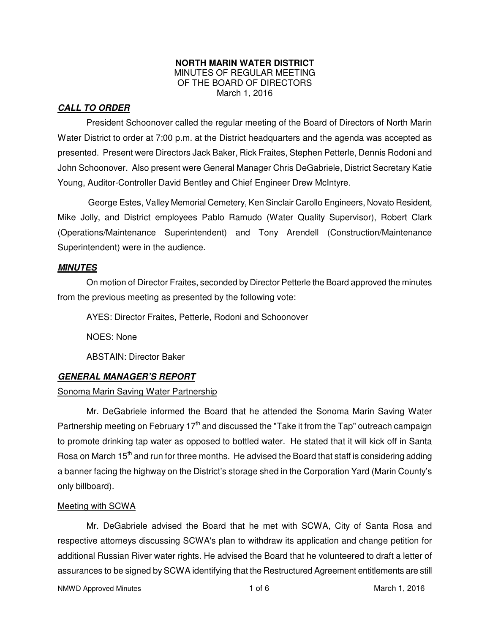#### **NORTH MARIN WATER DISTRICT**  MINUTES OF REGULAR MEETING OF THE BOARD OF DIRECTORS March 1, 2016

## **CALL TO ORDER**

President Schoonover called the regular meeting of the Board of Directors of North Marin Water District to order at 7:00 p.m. at the District headquarters and the agenda was accepted as presented. Present were Directors Jack Baker, Rick Fraites, Stephen Petterle, Dennis Rodoni and John Schoonover. Also present were General Manager Chris DeGabriele, District Secretary Katie Young, Auditor-Controller David Bentley and Chief Engineer Drew McIntyre.

George Estes, Valley Memorial Cemetery, Ken Sinclair Carollo Engineers, Novato Resident, Mike Jolly, and District employees Pablo Ramudo (Water Quality Supervisor), Robert Clark (Operations/Maintenance Superintendent) and Tony Arendell (Construction/Maintenance Superintendent) were in the audience.

#### **MINUTES**

 On motion of Director Fraites, seconded by Director Petterle the Board approved the minutes from the previous meeting as presented by the following vote:

AYES: Director Fraites, Petterle, Rodoni and Schoonover

NOES: None

ABSTAIN: Director Baker

#### **GENERAL MANAGER'S REPORT**

#### Sonoma Marin Saving Water Partnership

 Mr. DeGabriele informed the Board that he attended the Sonoma Marin Saving Water Partnership meeting on February 17<sup>th</sup> and discussed the "Take it from the Tap" outreach campaign to promote drinking tap water as opposed to bottled water. He stated that it will kick off in Santa Rosa on March  $15<sup>th</sup>$  and run for three months. He advised the Board that staff is considering adding a banner facing the highway on the District's storage shed in the Corporation Yard (Marin County's only billboard).

#### Meeting with SCWA

 Mr. DeGabriele advised the Board that he met with SCWA, City of Santa Rosa and respective attorneys discussing SCWA's plan to withdraw its application and change petition for additional Russian River water rights. He advised the Board that he volunteered to draft a letter of assurances to be signed by SCWA identifying that the Restructured Agreement entitlements are still

NMWD Approved Minutes and the control of the control of 6 and 1 of 6 March 1, 2016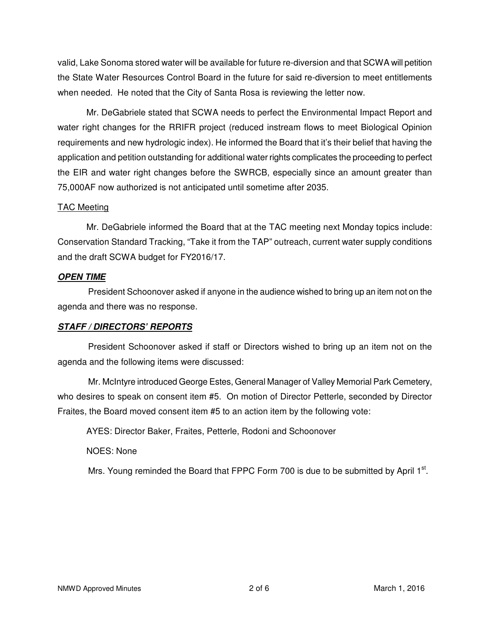valid, Lake Sonoma stored water will be available for future re-diversion and that SCWA will petition the State Water Resources Control Board in the future for said re-diversion to meet entitlements when needed. He noted that the City of Santa Rosa is reviewing the letter now.

 Mr. DeGabriele stated that SCWA needs to perfect the Environmental Impact Report and water right changes for the RRIFR project (reduced instream flows to meet Biological Opinion requirements and new hydrologic index). He informed the Board that it's their belief that having the application and petition outstanding for additional water rights complicates the proceeding to perfect the EIR and water right changes before the SWRCB, especially since an amount greater than 75,000AF now authorized is not anticipated until sometime after 2035.

#### TAC Meeting

 Mr. DeGabriele informed the Board that at the TAC meeting next Monday topics include: Conservation Standard Tracking, "Take it from the TAP" outreach, current water supply conditions and the draft SCWA budget for FY2016/17.

## **OPEN TIME**

President Schoonover asked if anyone in the audience wished to bring up an item not on the agenda and there was no response.

# **STAFF / DIRECTORS' REPORTS**

President Schoonover asked if staff or Directors wished to bring up an item not on the agenda and the following items were discussed:

Mr. McIntyre introduced George Estes, General Manager of Valley Memorial Park Cemetery, who desires to speak on consent item #5. On motion of Director Petterle, seconded by Director Fraites, the Board moved consent item #5 to an action item by the following vote:

AYES: Director Baker, Fraites, Petterle, Rodoni and Schoonover

NOES: None

Mrs. Young reminded the Board that FPPC Form 700 is due to be submitted by April  $1<sup>st</sup>$ .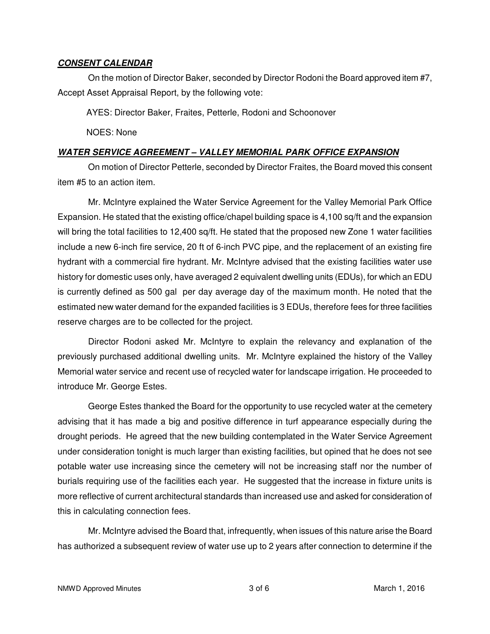#### **CONSENT CALENDAR**

On the motion of Director Baker, seconded by Director Rodoni the Board approved item #7, Accept Asset Appraisal Report, by the following vote:

AYES: Director Baker, Fraites, Petterle, Rodoni and Schoonover

NOES: None

#### **WATER SERVICE AGREEMENT – VALLEY MEMORIAL PARK OFFICE EXPANSION**

On motion of Director Petterle, seconded by Director Fraites, the Board moved this consent item #5 to an action item.

Mr. McIntyre explained the Water Service Agreement for the Valley Memorial Park Office Expansion. He stated that the existing office/chapel building space is 4,100 sq/ft and the expansion will bring the total facilities to 12,400 sq/ft. He stated that the proposed new Zone 1 water facilities include a new 6-inch fire service, 20 ft of 6-inch PVC pipe, and the replacement of an existing fire hydrant with a commercial fire hydrant. Mr. McIntyre advised that the existing facilities water use history for domestic uses only, have averaged 2 equivalent dwelling units (EDUs), for which an EDU is currently defined as 500 gal per day average day of the maximum month. He noted that the estimated new water demand for the expanded facilities is 3 EDUs, therefore fees for three facilities reserve charges are to be collected for the project.

Director Rodoni asked Mr. McIntyre to explain the relevancy and explanation of the previously purchased additional dwelling units. Mr. McIntyre explained the history of the Valley Memorial water service and recent use of recycled water for landscape irrigation. He proceeded to introduce Mr. George Estes.

George Estes thanked the Board for the opportunity to use recycled water at the cemetery advising that it has made a big and positive difference in turf appearance especially during the drought periods. He agreed that the new building contemplated in the Water Service Agreement under consideration tonight is much larger than existing facilities, but opined that he does not see potable water use increasing since the cemetery will not be increasing staff nor the number of burials requiring use of the facilities each year. He suggested that the increase in fixture units is more reflective of current architectural standards than increased use and asked for consideration of this in calculating connection fees.

Mr. McIntyre advised the Board that, infrequently, when issues of this nature arise the Board has authorized a subsequent review of water use up to 2 years after connection to determine if the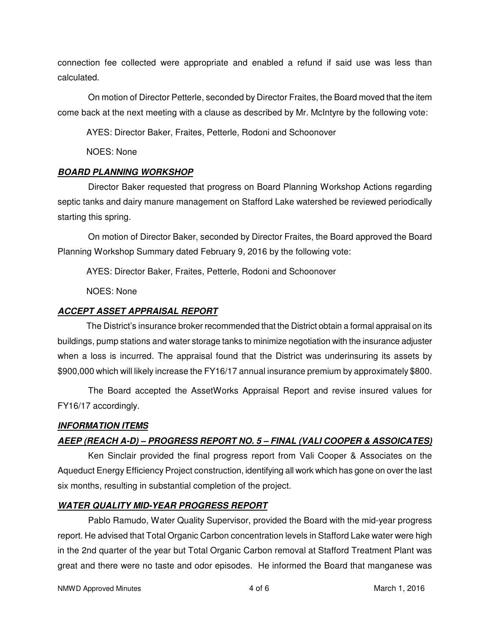connection fee collected were appropriate and enabled a refund if said use was less than calculated.

On motion of Director Petterle, seconded by Director Fraites, the Board moved that the item come back at the next meeting with a clause as described by Mr. McIntyre by the following vote:

AYES: Director Baker, Fraites, Petterle, Rodoni and Schoonover

NOES: None

# **BOARD PLANNING WORKSHOP**

Director Baker requested that progress on Board Planning Workshop Actions regarding septic tanks and dairy manure management on Stafford Lake watershed be reviewed periodically starting this spring.

On motion of Director Baker, seconded by Director Fraites, the Board approved the Board Planning Workshop Summary dated February 9, 2016 by the following vote:

AYES: Director Baker, Fraites, Petterle, Rodoni and Schoonover

NOES: None

# **ACCEPT ASSET APPRAISAL REPORT**

 The District's insurance broker recommended that the District obtain a formal appraisal on its buildings, pump stations and water storage tanks to minimize negotiation with the insurance adjuster when a loss is incurred. The appraisal found that the District was underinsuring its assets by \$900,000 which will likely increase the FY16/17 annual insurance premium by approximately \$800.

The Board accepted the AssetWorks Appraisal Report and revise insured values for FY16/17 accordingly.

# **INFORMATION ITEMS**

# **AEEP (REACH A-D) – PROGRESS REPORT NO. 5 – FINAL (VALI COOPER & ASSOICATES)**

Ken Sinclair provided the final progress report from Vali Cooper & Associates on the Aqueduct Energy Efficiency Project construction, identifying all work which has gone on over the last six months, resulting in substantial completion of the project.

# **WATER QUALITY MID-YEAR PROGRESS REPORT**

Pablo Ramudo, Water Quality Supervisor, provided the Board with the mid-year progress report. He advised that Total Organic Carbon concentration levels in Stafford Lake water were high in the 2nd quarter of the year but Total Organic Carbon removal at Stafford Treatment Plant was great and there were no taste and odor episodes. He informed the Board that manganese was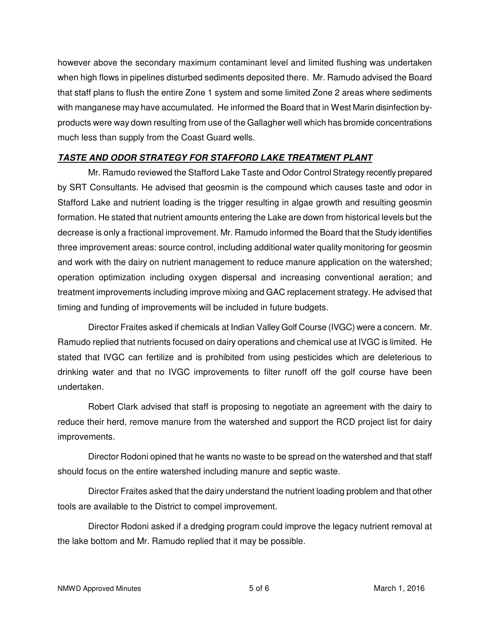however above the secondary maximum contaminant level and limited flushing was undertaken when high flows in pipelines disturbed sediments deposited there. Mr. Ramudo advised the Board that staff plans to flush the entire Zone 1 system and some limited Zone 2 areas where sediments with manganese may have accumulated. He informed the Board that in West Marin disinfection byproducts were way down resulting from use of the Gallagher well which has bromide concentrations much less than supply from the Coast Guard wells.

# **TASTE AND ODOR STRATEGY FOR STAFFORD LAKE TREATMENT PLANT**

Mr. Ramudo reviewed the Stafford Lake Taste and Odor Control Strategy recently prepared by SRT Consultants. He advised that geosmin is the compound which causes taste and odor in Stafford Lake and nutrient loading is the trigger resulting in algae growth and resulting geosmin formation. He stated that nutrient amounts entering the Lake are down from historical levels but the decrease is only a fractional improvement. Mr. Ramudo informed the Board that the Study identifies three improvement areas: source control, including additional water quality monitoring for geosmin and work with the dairy on nutrient management to reduce manure application on the watershed; operation optimization including oxygen dispersal and increasing conventional aeration; and treatment improvements including improve mixing and GAC replacement strategy. He advised that timing and funding of improvements will be included in future budgets.

Director Fraites asked if chemicals at Indian Valley Golf Course (IVGC) were a concern. Mr. Ramudo replied that nutrients focused on dairy operations and chemical use at IVGC is limited. He stated that IVGC can fertilize and is prohibited from using pesticides which are deleterious to drinking water and that no IVGC improvements to filter runoff off the golf course have been undertaken.

Robert Clark advised that staff is proposing to negotiate an agreement with the dairy to reduce their herd, remove manure from the watershed and support the RCD project list for dairy improvements.

Director Rodoni opined that he wants no waste to be spread on the watershed and that staff should focus on the entire watershed including manure and septic waste.

Director Fraites asked that the dairy understand the nutrient loading problem and that other tools are available to the District to compel improvement.

Director Rodoni asked if a dredging program could improve the legacy nutrient removal at the lake bottom and Mr. Ramudo replied that it may be possible.